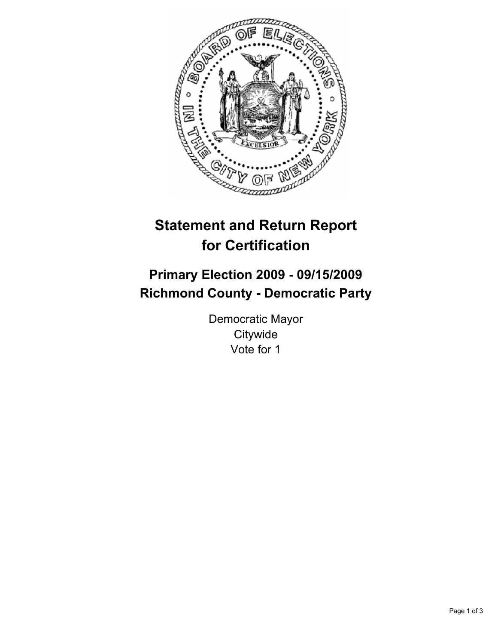

# **Statement and Return Report for Certification**

## **Primary Election 2009 - 09/15/2009 Richmond County - Democratic Party**

Democratic Mayor **Citywide** Vote for 1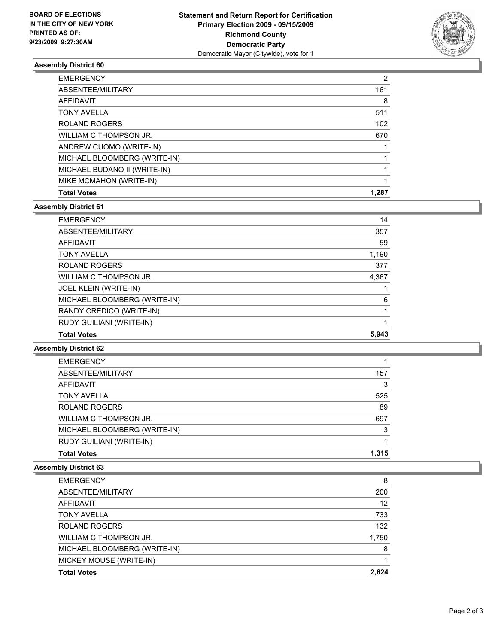

#### **Assembly District 60**

| <b>EMERGENCY</b>             | 2     |
|------------------------------|-------|
| ABSENTEE/MILITARY            | 161   |
| <b>AFFIDAVIT</b>             | 8     |
| <b>TONY AVELLA</b>           | 511   |
| ROLAND ROGERS                | 102   |
| WILLIAM C THOMPSON JR.       | 670   |
| ANDREW CUOMO (WRITE-IN)      |       |
| MICHAEL BLOOMBERG (WRITE-IN) |       |
| MICHAEL BUDANO II (WRITE-IN) |       |
| MIKE MCMAHON (WRITE-IN)      |       |
| <b>Total Votes</b>           | 1.287 |

#### **Assembly District 61**

| <b>EMERGENCY</b>             | 14    |
|------------------------------|-------|
| ABSENTEE/MILITARY            | 357   |
| AFFIDAVIT                    | 59    |
| <b>TONY AVELLA</b>           | 1,190 |
| <b>ROLAND ROGERS</b>         | 377   |
| WILLIAM C THOMPSON JR.       | 4,367 |
| JOEL KLEIN (WRITE-IN)        |       |
| MICHAEL BLOOMBERG (WRITE-IN) | 6     |
| RANDY CREDICO (WRITE-IN)     |       |
| RUDY GUILIANI (WRITE-IN)     |       |
| <b>Total Votes</b>           | 5.943 |

**Assembly District 62**

| <b>EMERGENCY</b>             |       |
|------------------------------|-------|
| ABSENTEE/MILITARY            | 157   |
| AFFIDAVIT                    | 3     |
| <b>TONY AVELLA</b>           | 525   |
| <b>ROLAND ROGERS</b>         | 89    |
| WILLIAM C THOMPSON JR.       | 697   |
| MICHAEL BLOOMBERG (WRITE-IN) | 3     |
| RUDY GUILIANI (WRITE-IN)     |       |
| <b>Total Votes</b>           | 1.315 |

### **Assembly District 63**

| <b>EMERGENCY</b>             | 8     |
|------------------------------|-------|
| ABSENTEE/MILITARY            | 200   |
| AFFIDAVIT                    | 12    |
| <b>TONY AVELLA</b>           | 733   |
| ROLAND ROGERS                | 132   |
| WILLIAM C THOMPSON JR.       | 1,750 |
| MICHAEL BLOOMBERG (WRITE-IN) | 8     |
| MICKEY MOUSE (WRITE-IN)      |       |
| <b>Total Votes</b>           | 2.624 |
|                              |       |